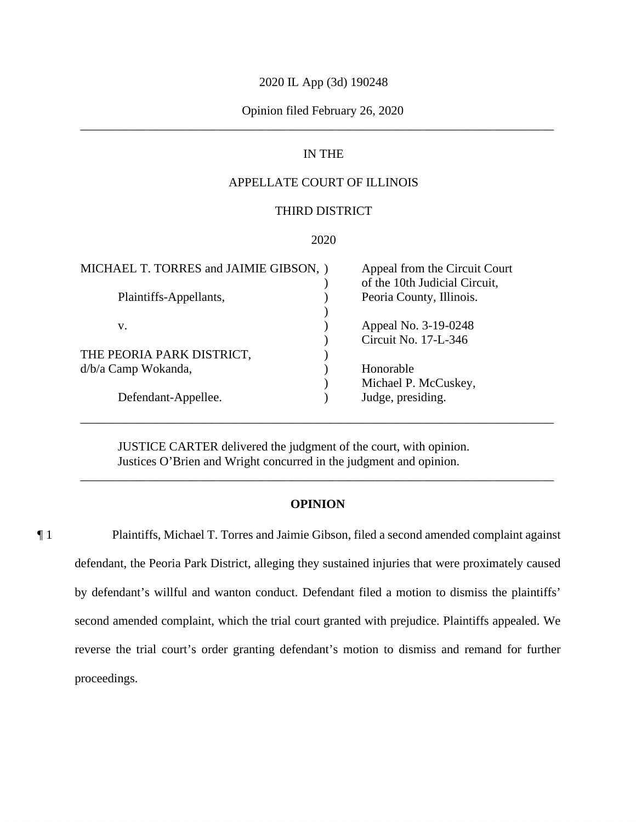### 2020 IL App (3d) 190248

## \_\_\_\_\_\_\_\_\_\_\_\_\_\_\_\_\_\_\_\_\_\_\_\_\_\_\_\_\_\_\_\_\_\_\_\_\_\_\_\_\_\_\_\_\_\_\_\_\_\_\_\_\_\_\_\_\_\_\_\_\_\_\_\_\_\_\_\_\_\_\_\_\_\_\_\_ Opinion filed February 26, 2020

# IN THE

## APPELLATE COURT OF ILLINOIS

### THIRD DISTRICT

### 2020

| MICHAEL T. TORRES and JAIMIE GIBSON, ) | Appeal from the Circuit Court<br>of the 10th Judicial Circuit, |
|----------------------------------------|----------------------------------------------------------------|
| Plaintiffs-Appellants,                 | Peoria County, Illinois.                                       |
| V.                                     | Appeal No. 3-19-0248                                           |
|                                        | Circuit No. 17-L-346                                           |
| THE PEORIA PARK DISTRICT,              |                                                                |
| d/b/a Camp Wokanda,                    | Honorable                                                      |
|                                        | Michael P. McCuskey,                                           |
| Defendant-Appellee.                    | Judge, presiding.                                              |

JUSTICE CARTER delivered the judgment of the court, with opinion. Justices O'Brien and Wright concurred in the judgment and opinion.

### **OPINION**

\_\_\_\_\_\_\_\_\_\_\_\_\_\_\_\_\_\_\_\_\_\_\_\_\_\_\_\_\_\_\_\_\_\_\_\_\_\_\_\_\_\_\_\_\_\_\_\_\_\_\_\_\_\_\_\_\_\_\_\_\_\_\_\_\_\_\_\_\_\_\_\_\_\_\_\_

\_\_\_\_\_\_\_\_\_\_\_\_\_\_\_\_\_\_\_\_\_\_\_\_\_\_\_\_\_\_\_\_\_\_\_\_\_\_\_\_\_\_\_\_\_\_\_\_\_\_\_\_\_\_\_\_\_\_\_\_\_\_\_\_\_\_\_\_\_\_\_\_\_\_\_\_

 reverse the trial court's order granting defendant's motion to dismiss and remand for further ¶ 1 Plaintiffs, Michael T. Torres and Jaimie Gibson, filed a second amended complaint against defendant, the Peoria Park District, alleging they sustained injuries that were proximately caused by defendant's willful and wanton conduct. Defendant filed a motion to dismiss the plaintiffs' second amended complaint, which the trial court granted with prejudice. Plaintiffs appealed. We proceedings.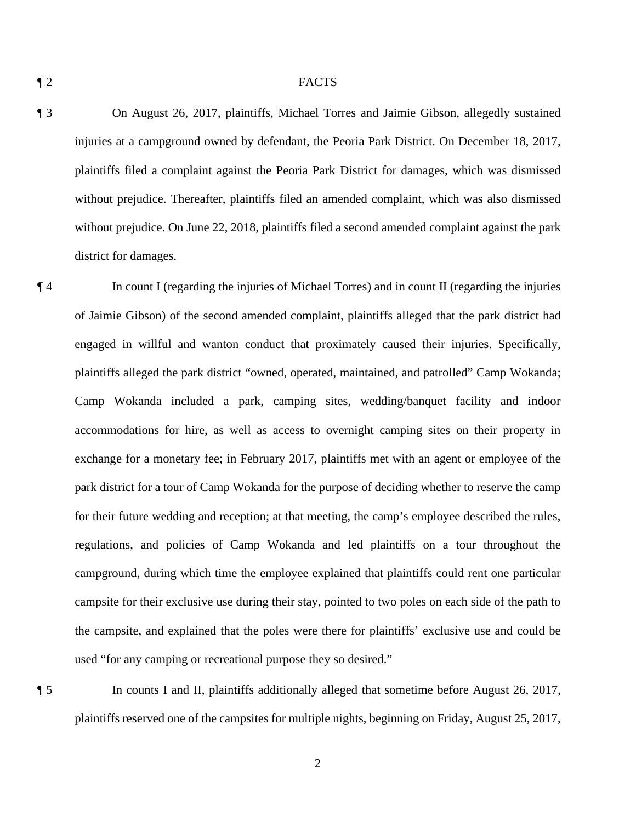#### ¶ 2 FACTS

 without prejudice. On June 22, 2018, plaintiffs filed a second amended complaint against the park ¶ 3 On August 26, 2017, plaintiffs, Michael Torres and Jaimie Gibson, allegedly sustained injuries at a campground owned by defendant, the Peoria Park District. On December 18, 2017, plaintiffs filed a complaint against the Peoria Park District for damages, which was dismissed without prejudice. Thereafter, plaintiffs filed an amended complaint, which was also dismissed district for damages.

 engaged in willful and wanton conduct that proximately caused their injuries. Specifically, accommodations for hire, as well as access to overnight camping sites on their property in campground, during which time the employee explained that plaintiffs could rent one particular used "for any camping or recreational purpose they so desired." used "for any camping or recreational purpose they so desired."<br>
In counts I and II, plaintiffs additionally alleged that sometime before August 26, 2017, ¶ 4 In count I (regarding the injuries of Michael Torres) and in count II (regarding the injuries of Jaimie Gibson) of the second amended complaint, plaintiffs alleged that the park district had plaintiffs alleged the park district "owned, operated, maintained, and patrolled" Camp Wokanda; Camp Wokanda included a park, camping sites, wedding/banquet facility and indoor exchange for a monetary fee; in February 2017, plaintiffs met with an agent or employee of the park district for a tour of Camp Wokanda for the purpose of deciding whether to reserve the camp for their future wedding and reception; at that meeting, the camp's employee described the rules, regulations, and policies of Camp Wokanda and led plaintiffs on a tour throughout the campsite for their exclusive use during their stay, pointed to two poles on each side of the path to the campsite, and explained that the poles were there for plaintiffs' exclusive use and could be

plaintiffs reserved one of the campsites for multiple nights, beginning on Friday, August 25, 2017,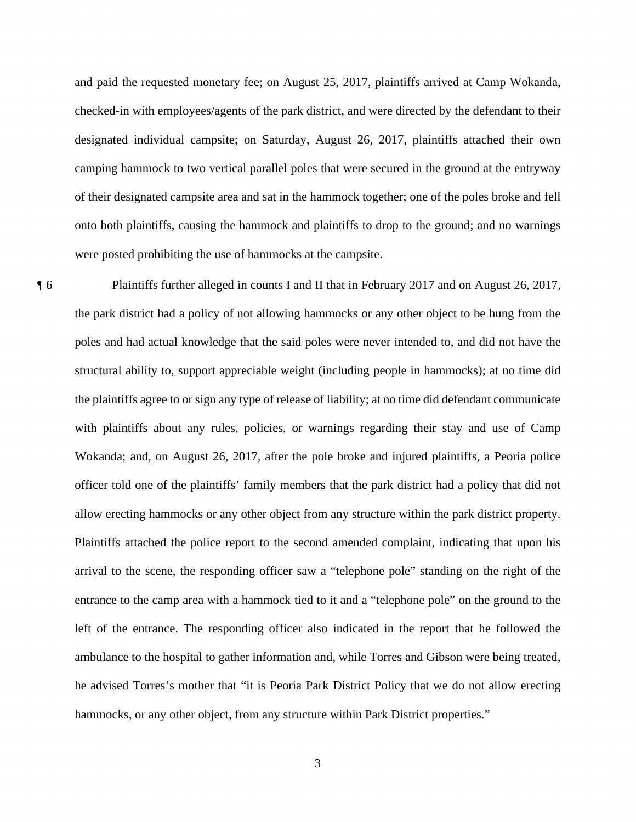camping hammock to two vertical parallel poles that were secured in the ground at the entryway were posted prohibiting the use of hammocks at the campsite. and paid the requested monetary fee; on August 25, 2017, plaintiffs arrived at Camp Wokanda, checked-in with employees/agents of the park district, and were directed by the defendant to their designated individual campsite; on Saturday, August 26, 2017, plaintiffs attached their own of their designated campsite area and sat in the hammock together; one of the poles broke and fell onto both plaintiffs, causing the hammock and plaintiffs to drop to the ground; and no warnings

 arrival to the scene, the responding officer saw a "telephone pole" standing on the right of the hammocks, or any other object, from any structure within Park District properties."<br>
3 **The Plaintiffs further alleged in counts I and II that in February 2017 and on August 26, 2017,** the park district had a policy of not allowing hammocks or any other object to be hung from the poles and had actual knowledge that the said poles were never intended to, and did not have the structural ability to, support appreciable weight (including people in hammocks); at no time did the plaintiffs agree to or sign any type of release of liability; at no time did defendant communicate with plaintiffs about any rules, policies, or warnings regarding their stay and use of Camp Wokanda; and, on August 26, 2017, after the pole broke and injured plaintiffs, a Peoria police officer told one of the plaintiffs' family members that the park district had a policy that did not allow erecting hammocks or any other object from any structure within the park district property. Plaintiffs attached the police report to the second amended complaint, indicating that upon his entrance to the camp area with a hammock tied to it and a "telephone pole" on the ground to the left of the entrance. The responding officer also indicated in the report that he followed the ambulance to the hospital to gather information and, while Torres and Gibson were being treated, he advised Torres's mother that "it is Peoria Park District Policy that we do not allow erecting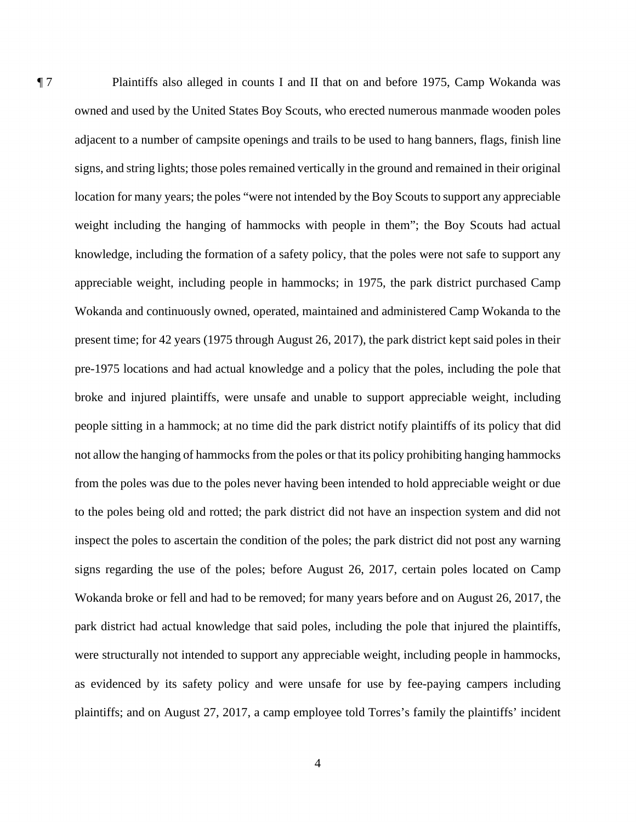signs regarding the use of the poles; before August 26, 2017, certain poles located on Camp ¶ 7 Plaintiffs also alleged in counts I and II that on and before 1975, Camp Wokanda was owned and used by the United States Boy Scouts, who erected numerous manmade wooden poles adjacent to a number of campsite openings and trails to be used to hang banners, flags, finish line signs, and string lights; those poles remained vertically in the ground and remained in their original location for many years; the poles "were not intended by the Boy Scouts to support any appreciable weight including the hanging of hammocks with people in them"; the Boy Scouts had actual knowledge, including the formation of a safety policy, that the poles were not safe to support any appreciable weight, including people in hammocks; in 1975, the park district purchased Camp Wokanda and continuously owned, operated, maintained and administered Camp Wokanda to the present time; for 42 years (1975 through August 26, 2017), the park district kept said poles in their pre-1975 locations and had actual knowledge and a policy that the poles, including the pole that broke and injured plaintiffs, were unsafe and unable to support appreciable weight, including people sitting in a hammock; at no time did the park district notify plaintiffs of its policy that did not allow the hanging of hammocks from the poles or that its policy prohibiting hanging hammocks from the poles was due to the poles never having been intended to hold appreciable weight or due to the poles being old and rotted; the park district did not have an inspection system and did not inspect the poles to ascertain the condition of the poles; the park district did not post any warning Wokanda broke or fell and had to be removed; for many years before and on August 26, 2017, the park district had actual knowledge that said poles, including the pole that injured the plaintiffs, were structurally not intended to support any appreciable weight, including people in hammocks, as evidenced by its safety policy and were unsafe for use by fee-paying campers including plaintiffs; and on August 27, 2017, a camp employee told Torres's family the plaintiffs' incident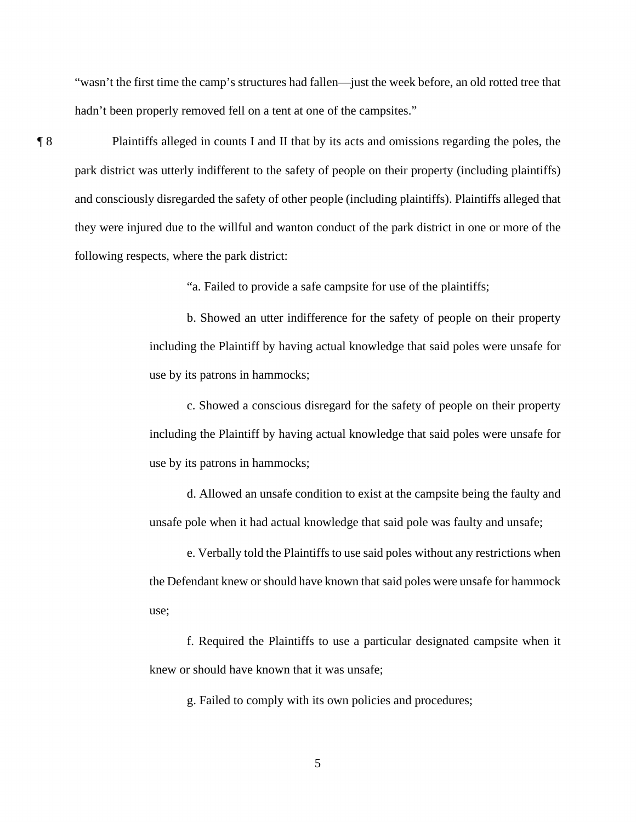"wasn't the first time the camp's structures had fallen—just the week before, an old rotted tree that hadn't been properly removed fell on a tent at one of the campsites."

following respects, where the park district: ¶ 8 Plaintiffs alleged in counts I and II that by its acts and omissions regarding the poles, the park district was utterly indifferent to the safety of people on their property (including plaintiffs) and consciously disregarded the safety of other people (including plaintiffs). Plaintiffs alleged that they were injured due to the willful and wanton conduct of the park district in one or more of the

"a. Failed to provide a safe campsite for use of the plaintiffs;

 including the Plaintiff by having actual knowledge that said poles were unsafe for use by its patrons in hammocks; b. Showed an utter indifference for the safety of people on their property

use by its patrons in hammocks; c. Showed a conscious disregard for the safety of people on their property including the Plaintiff by having actual knowledge that said poles were unsafe for

unsafe pole when it had actual knowledge that said pole was faulty and unsafe; d. Allowed an unsafe condition to exist at the campsite being the faulty and

e. Verbally told the Plaintiffs to use said poles without any restrictions when the Defendant knew or should have known that said poles were unsafe for hammock use;

knew or should have known that it was unsafe; f. Required the Plaintiffs to use a particular designated campsite when it knew or should have known that it was unsafe;<br>g. Failed to comply with its own policies and procedures;<br>5

g. Failed to comply with its own policies and procedures;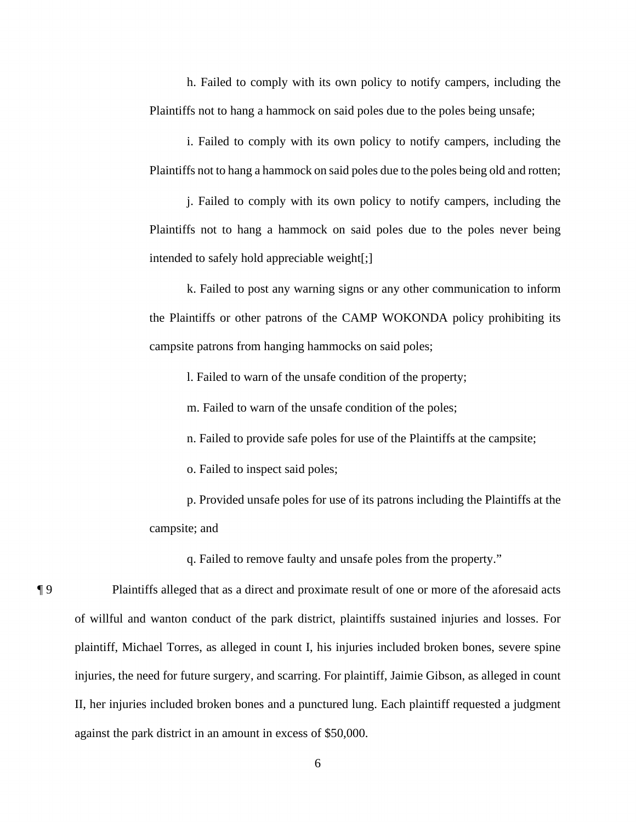h. Failed to comply with its own policy to notify campers, including the Plaintiffs not to hang a hammock on said poles due to the poles being unsafe;

i. Failed to comply with its own policy to notify campers, including the Plaintiffs not to hang a hammock on said poles due to the poles being old and rotten;

intended to safely hold appreciable weight[;] j. Failed to comply with its own policy to notify campers, including the Plaintiffs not to hang a hammock on said poles due to the poles never being

campsite patrons from hanging hammocks on said poles; k. Failed to post any warning signs or any other communication to inform the Plaintiffs or other patrons of the CAMP WOKONDA policy prohibiting its campsite patrons from hanging hammocks on said poles;<br>1. Failed to warn of the unsafe condition of the property;<br>m. Failed to warn of the unsafe condition of the poles;<br>n. Failed to provide safe poles for use of the Plaint

1. Failed to warn of the unsafe condition of the property;

m. Failed to warn of the unsafe condition of the poles;

o. Failed to inspect said poles;

p. Provided unsafe poles for use of its patrons including the Plaintiffs at the campsite; and

q. Failed to remove faulty and unsafe poles from the property."

¶ 9 Plaintiffs alleged that as a direct and proximate result of one or more of the aforesaid acts of willful and wanton conduct of the park district, plaintiffs sustained injuries and losses. For plaintiff, Michael Torres, as alleged in count I, his injuries included broken bones, severe spine injuries, the need for future surgery, and scarring. For plaintiff, Jaimie Gibson, as alleged in count II, her injuries included broken bones and a punctured lung. Each plaintiff requested a judgment against the park district in an amount in excess of \$50,000.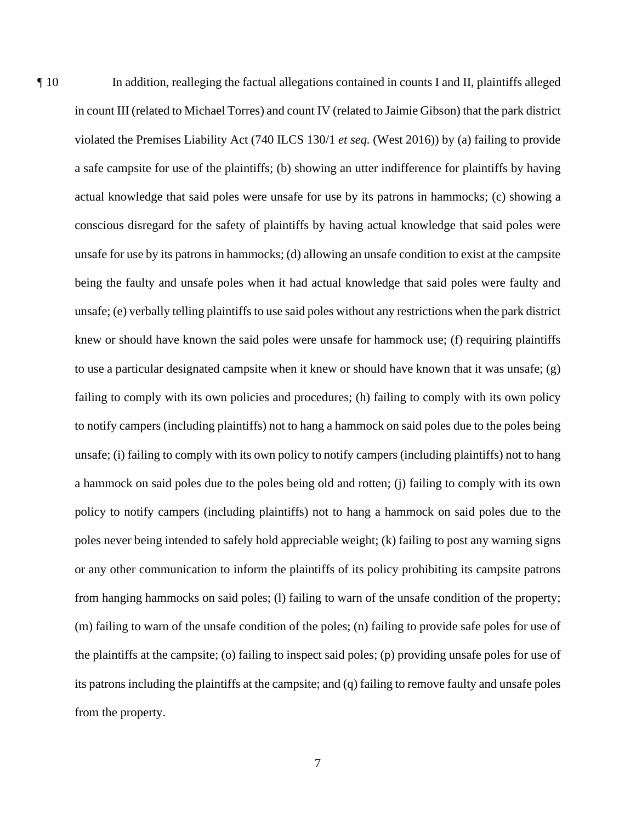¶ 10 In addition, realleging the factual allegations contained in counts I and II, plaintiffs alleged a safe campsite for use of the plaintiffs; (b) showing an utter indifference for plaintiffs by having unsafe for use by its patrons in hammocks; (d) allowing an unsafe condition to exist at the campsite being the faulty and unsafe poles when it had actual knowledge that said poles were faulty and knew or should have known the said poles were unsafe for hammock use; (f) requiring plaintiffs in count III (related to Michael Torres) and count IV (related to Jaimie Gibson) that the park district violated the Premises Liability Act (740 ILCS 130/1 *et seq.* (West 2016)) by (a) failing to provide actual knowledge that said poles were unsafe for use by its patrons in hammocks; (c) showing a conscious disregard for the safety of plaintiffs by having actual knowledge that said poles were unsafe; (e) verbally telling plaintiffs to use said poles without any restrictions when the park district to use a particular designated campsite when it knew or should have known that it was unsafe;  $(g)$ failing to comply with its own policies and procedures; (h) failing to comply with its own policy to notify campers (including plaintiffs) not to hang a hammock on said poles due to the poles being unsafe; (i) failing to comply with its own policy to notify campers (including plaintiffs) not to hang a hammock on said poles due to the poles being old and rotten; (j) failing to comply with its own policy to notify campers (including plaintiffs) not to hang a hammock on said poles due to the poles never being intended to safely hold appreciable weight; (k) failing to post any warning signs or any other communication to inform the plaintiffs of its policy prohibiting its campsite patrons from hanging hammocks on said poles; (l) failing to warn of the unsafe condition of the property; (m) failing to warn of the unsafe condition of the poles; (n) failing to provide safe poles for use of the plaintiffs at the campsite; (o) failing to inspect said poles; (p) providing unsafe poles for use of its patrons including the plaintiffs at the campsite; and (q) failing to remove faulty and unsafe poles from the property.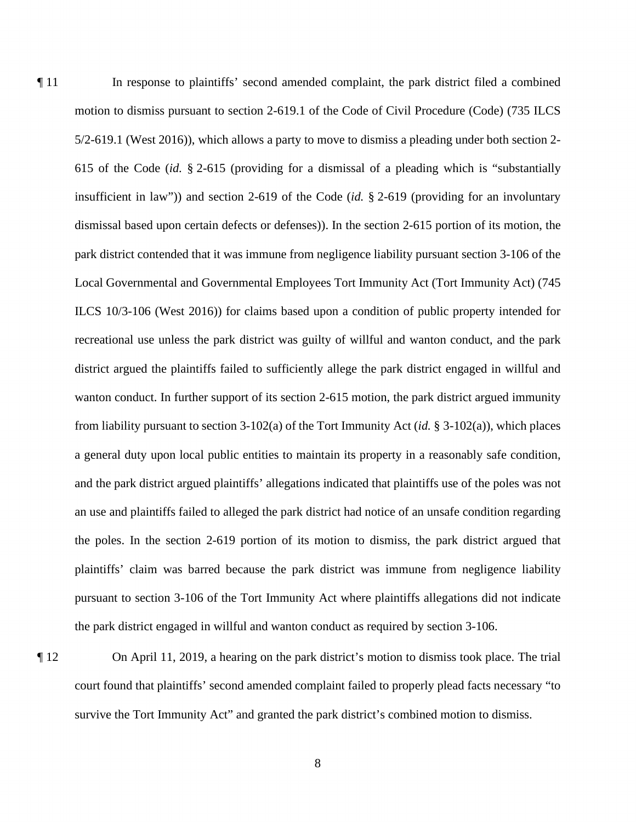615 of the Code (*id.* § 2-615 (providing for a dismissal of a pleading which is "substantially Local Governmental and Governmental Employees Tort Immunity Act (Tort Immunity Act) (745 district argued the plaintiffs failed to sufficiently allege the park district engaged in willful and plaintiffs' claim was barred because the park district was immune from negligence liability ¶ 11 In response to plaintiffs' second amended complaint, the park district filed a combined motion to dismiss pursuant to section 2-619.1 of the Code of Civil Procedure (Code) (735 ILCS 5/2-619.1 (West 2016)), which allows a party to move to dismiss a pleading under both section 2 insufficient in law")) and section 2-619 of the Code (*id.* § 2-619 (providing for an involuntary dismissal based upon certain defects or defenses)). In the section 2-615 portion of its motion, the park district contended that it was immune from negligence liability pursuant section 3-106 of the ILCS 10/3-106 (West 2016)) for claims based upon a condition of public property intended for recreational use unless the park district was guilty of willful and wanton conduct, and the park wanton conduct. In further support of its section 2-615 motion, the park district argued immunity from liability pursuant to section 3-102(a) of the Tort Immunity Act (*id.* § 3-102(a)), which places a general duty upon local public entities to maintain its property in a reasonably safe condition, and the park district argued plaintiffs' allegations indicated that plaintiffs use of the poles was not an use and plaintiffs failed to alleged the park district had notice of an unsafe condition regarding the poles. In the section 2-619 portion of its motion to dismiss, the park district argued that pursuant to section 3-106 of the Tort Immunity Act where plaintiffs allegations did not indicate the park district engaged in willful and wanton conduct as required by section 3-106.

¶ 12 On April 11, 2019, a hearing on the park district's motion to dismiss took place. The trial court found that plaintiffs' second amended complaint failed to properly plead facts necessary "to survive the Tort Immunity Act" and granted the park district's combined motion to dismiss.

8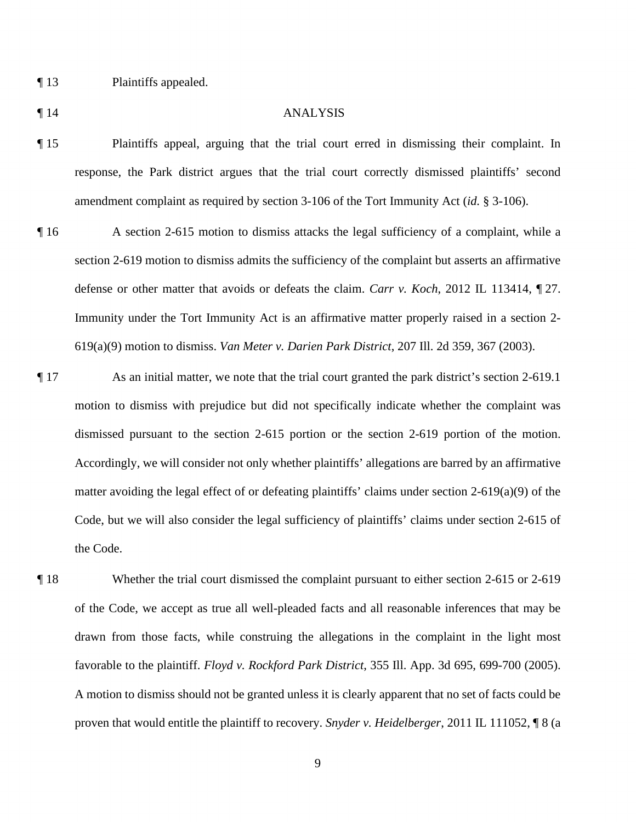¶ 13 Plaintiffs appealed.

#### ¶ 14 ANALYSIS

- ¶ 15 Plaintiffs appeal, arguing that the trial court erred in dismissing their complaint. In response, the Park district argues that the trial court correctly dismissed plaintiffs' second amendment complaint as required by section 3-106 of the Tort Immunity Act (*id.* § 3-106).
- section 2-619 motion to dismiss admits the sufficiency of the complaint but asserts an affirmative ¶ 16 A section 2-615 motion to dismiss attacks the legal sufficiency of a complaint, while a defense or other matter that avoids or defeats the claim. *Carr v. Koch*, 2012 IL 113414, ¶ 27. Immunity under the Tort Immunity Act is an affirmative matter properly raised in a section 2- 619(a)(9) motion to dismiss. *Van Meter v. Darien Park District*, 207 Ill. 2d 359, 367 (2003).
- Accordingly, we will consider not only whether plaintiffs' allegations are barred by an affirmative Code, but we will also consider the legal sufficiency of plaintiffs' claims under section 2-615 of ¶ 17 As an initial matter, we note that the trial court granted the park district's section 2-619.1 motion to dismiss with prejudice but did not specifically indicate whether the complaint was dismissed pursuant to the section 2-615 portion or the section 2-619 portion of the motion. matter avoiding the legal effect of or defeating plaintiffs' claims under section 2-619(a)(9) of the the Code.
- drawn from those facts, while construing the allegations in the complaint in the light most ¶ 18 Whether the trial court dismissed the complaint pursuant to either section 2-615 or 2-619 of the Code, we accept as true all well-pleaded facts and all reasonable inferences that may be favorable to the plaintiff. *Floyd v. Rockford Park District*, 355 Ill. App. 3d 695, 699-700 (2005). A motion to dismiss should not be granted unless it is clearly apparent that no set of facts could be proven that would entitle the plaintiff to recovery. *Snyder v. Heidelberger*, 2011 IL 111052, ¶ 8 (a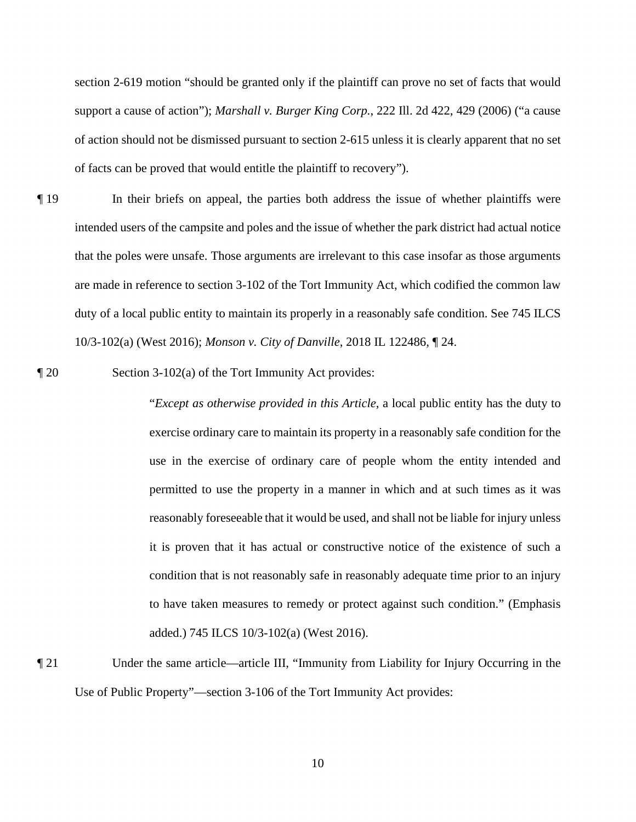support a cause of action"); *Marshall v. Burger King Corp.*, 222 Ill. 2d 422, 429 (2006) ("a cause section 2-619 motion "should be granted only if the plaintiff can prove no set of facts that would of action should not be dismissed pursuant to section 2-615 unless it is clearly apparent that no set of facts can be proved that would entitle the plaintiff to recovery").

- intended users of the campsite and poles and the issue of whether the park district had actual notice ¶ 19 In their briefs on appeal, the parties both address the issue of whether plaintiffs were that the poles were unsafe. Those arguments are irrelevant to this case insofar as those arguments are made in reference to section 3-102 of the Tort Immunity Act, which codified the common law duty of a local public entity to maintain its properly in a reasonably safe condition. See 745 ILCS 10/3-102(a) (West 2016); *Monson v. City of Danville*, 2018 IL 122486, ¶ 24.
- ¶ 20 Section 3-102(a) of the Tort Immunity Act provides:

 it is proven that it has actual or constructive notice of the existence of such a "*Except as otherwise provided in this Article*, a local public entity has the duty to exercise ordinary care to maintain its property in a reasonably safe condition for the use in the exercise of ordinary care of people whom the entity intended and permitted to use the property in a manner in which and at such times as it was reasonably foreseeable that it would be used, and shall not be liable for injury unless condition that is not reasonably safe in reasonably adequate time prior to an injury to have taken measures to remedy or protect against such condition." (Emphasis added.) 745 ILCS 10/3-102(a) (West 2016).

Use of Public Property"—section 3-106 of the Tort Immunity Act provides:<br>
10 ¶ 21 Under the same article—article III, "Immunity from Liability for Injury Occurring in the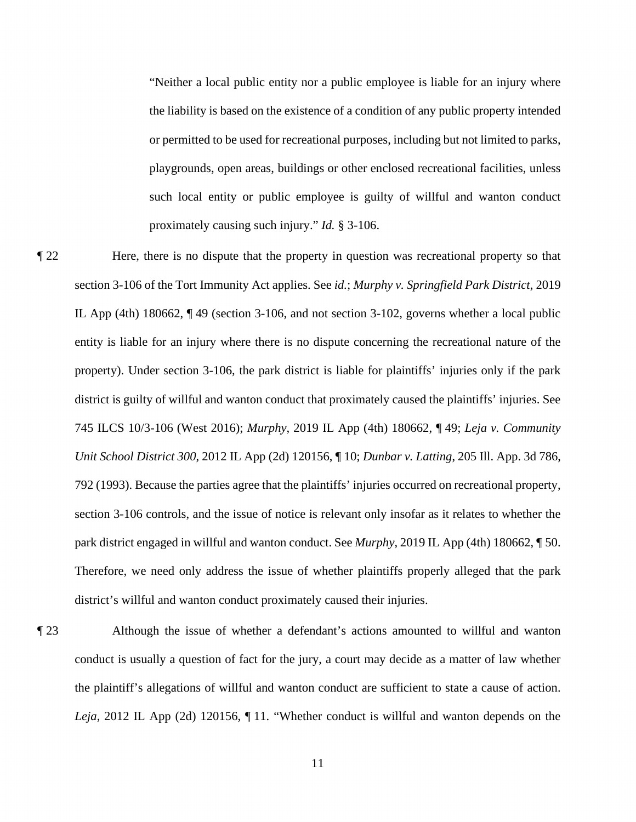proximately causing such injury." *Id.* § 3-106. "Neither a local public entity nor a public employee is liable for an injury where the liability is based on the existence of a condition of any public property intended or permitted to be used for recreational purposes, including but not limited to parks, playgrounds, open areas, buildings or other enclosed recreational facilities, unless such local entity or public employee is guilty of willful and wanton conduct

- property). Under section 3-106, the park district is liable for plaintiffs' injuries only if the park ¶ 22 Here, there is no dispute that the property in question was recreational property so that section 3-106 of the Tort Immunity Act applies. See *id.*; *Murphy v. Springfield Park District*, 2019 IL App (4th) 180662, ¶ 49 (section 3-106, and not section 3-102, governs whether a local public entity is liable for an injury where there is no dispute concerning the recreational nature of the district is guilty of willful and wanton conduct that proximately caused the plaintiffs' injuries. See 745 ILCS 10/3-106 (West 2016); *Murphy*, 2019 IL App (4th) 180662, ¶ 49; *Leja v. Community Unit School District 300*, 2012 IL App (2d) 120156, ¶ 10; *Dunbar v. Latting*, 205 Ill. App. 3d 786, 792 (1993). Because the parties agree that the plaintiffs' injuries occurred on recreational property, section 3-106 controls, and the issue of notice is relevant only insofar as it relates to whether the park district engaged in willful and wanton conduct. See *Murphy*, 2019 IL App (4th) 180662, ¶ 50. Therefore, we need only address the issue of whether plaintiffs properly alleged that the park district's willful and wanton conduct proximately caused their injuries.
- conduct is usually a question of fact for the jury, a court may decide as a matter of law whether ¶ 23 Although the issue of whether a defendant's actions amounted to willful and wanton the plaintiff's allegations of willful and wanton conduct are sufficient to state a cause of action. *Leja*, 2012 IL App (2d) 120156, ¶ 11. "Whether conduct is willful and wanton depends on the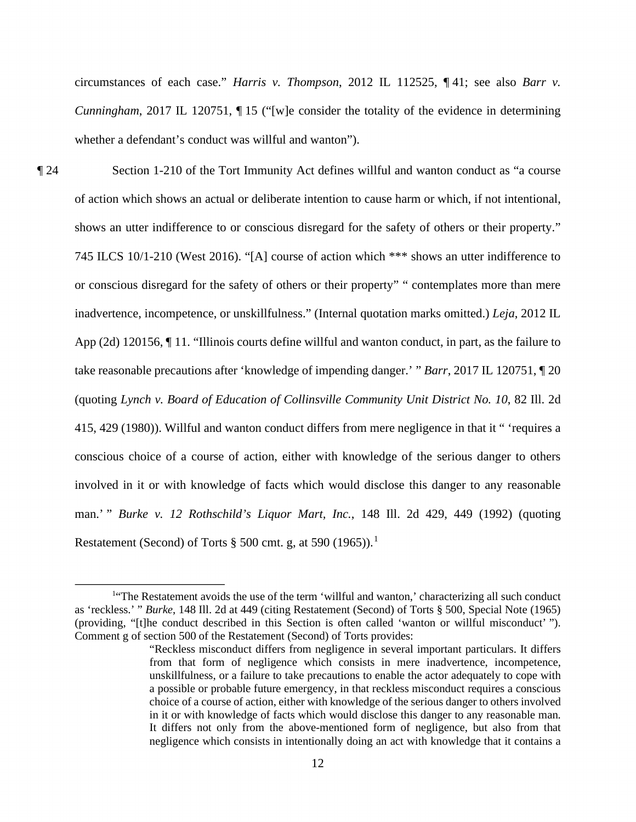circumstances of each case." *Harris v. Thompson*, 2012 IL 112525, ¶ 41; see also *Barr v. Cunningham*, 2017 IL 120751, ¶ 15 ("[w]e consider the totality of the evidence in determining whether a defendant's conduct was willful and wanton").

 or conscious disregard for the safety of others or their property" " contemplates more than mere take reasonable precautions after 'knowledge of impending danger.' " *Barr*, 2017 IL 120751, ¶ 20 Restatement (Second) of Torts  $\S 500$  cmt. g, at 590 (1965)).<sup>1</sup> ¶ 24 Section 1-210 of the Tort Immunity Act defines willful and wanton conduct as "a course of action which shows an actual or deliberate intention to cause harm or which, if not intentional, shows an utter indifference to or conscious disregard for the safety of others or their property." 745 ILCS 10/1-210 (West 2016). "[A] course of action which \*\*\* shows an utter indifference to inadvertence, incompetence, or unskillfulness." (Internal quotation marks omitted.) *Leja*, 2012 IL App (2d) 120156, ¶ 11. "Illinois courts define willful and wanton conduct, in part, as the failure to (quoting *Lynch v. Board of Education of Collinsville Community Unit District No. 10*, 82 Ill. 2d 415, 429 (1980)). Willful and wanton conduct differs from mere negligence in that it " 'requires a conscious choice of a course of action, either with knowledge of the serious danger to others involved in it or with knowledge of facts which would disclose this danger to any reasonable man.' " *Burke v. 12 Rothschild's Liquor Mart, Inc.*, 148 Ill. 2d 429, 449 (1992) (quoting

 as 'reckless.' " *Burke*, 148 Ill. 2d at 449 (citing Restatement (Second) of Torts § 500, Special Note (1965) Comment g of section 500 of the Restatement (Second) of Torts provides: <sup>1"</sup>The Restatement avoids the use of the term 'willful and wanton,' characterizing all such conduct (providing, "[t]he conduct described in this Section is often called 'wanton or willful misconduct' ").

 from that form of negligence which consists in mere inadvertence, incompetence, choice of a course of action, either with knowledge of the serious danger to others involved It differs not only from the above-mentioned form of negligence, but also from that negligence which consists in intentionally doing an act with knowledge that it contains a "Reckless misconduct differs from negligence in several important particulars. It differs unskillfulness, or a failure to take precautions to enable the actor adequately to cope with a possible or probable future emergency, in that reckless misconduct requires a conscious in it or with knowledge of facts which would disclose this danger to any reasonable man.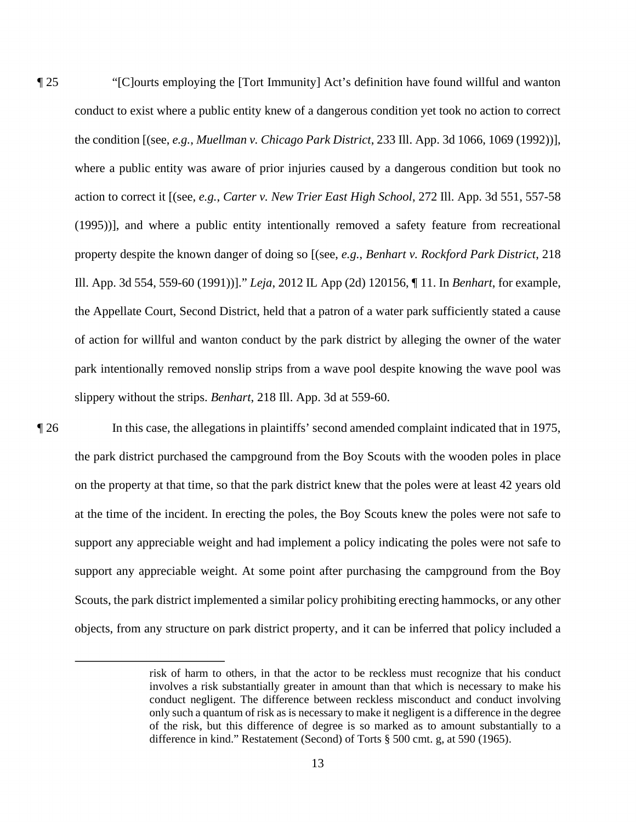action to correct it [(see, *e.g.*, *Carter v. New Trier East High School*, 272 Ill. App. 3d 551, 557-58 ¶ 25 "[C]ourts employing the [Tort Immunity] Act's definition have found willful and wanton conduct to exist where a public entity knew of a dangerous condition yet took no action to correct the condition [(see, *e.g.*, *Muellman v. Chicago Park District*, 233 Ill. App. 3d 1066, 1069 (1992))], where a public entity was aware of prior injuries caused by a dangerous condition but took no (1995))], and where a public entity intentionally removed a safety feature from recreational property despite the known danger of doing so [(see, *e.g.*, *Benhart v. Rockford Park District*, 218 Ill. App. 3d 554, 559-60 (1991))]." *Leja*, 2012 IL App (2d) 120156, ¶ 11. In *Benhart*, for example, the Appellate Court, Second District, held that a patron of a water park sufficiently stated a cause of action for willful and wanton conduct by the park district by alleging the owner of the water park intentionally removed nonslip strips from a wave pool despite knowing the wave pool was slippery without the strips. *Benhart*, 218 Ill. App. 3d at 559-60.

 on the property at that time, so that the park district knew that the poles were at least 42 years old ¶ 26 In this case, the allegations in plaintiffs' second amended complaint indicated that in 1975, the park district purchased the campground from the Boy Scouts with the wooden poles in place at the time of the incident. In erecting the poles, the Boy Scouts knew the poles were not safe to support any appreciable weight and had implement a policy indicating the poles were not safe to support any appreciable weight. At some point after purchasing the campground from the Boy Scouts, the park district implemented a similar policy prohibiting erecting hammocks, or any other objects, from any structure on park district property, and it can be inferred that policy included a

 risk of harm to others, in that the actor to be reckless must recognize that his conduct conduct negligent. The difference between reckless misconduct and conduct involving only such a quantum of risk as is necessary to make it negligent is a difference in the degree of the risk, but this difference of degree is so marked as to amount substantially to a involves a risk substantially greater in amount than that which is necessary to make his difference in kind." Restatement (Second) of Torts § 500 cmt. g, at 590 (1965).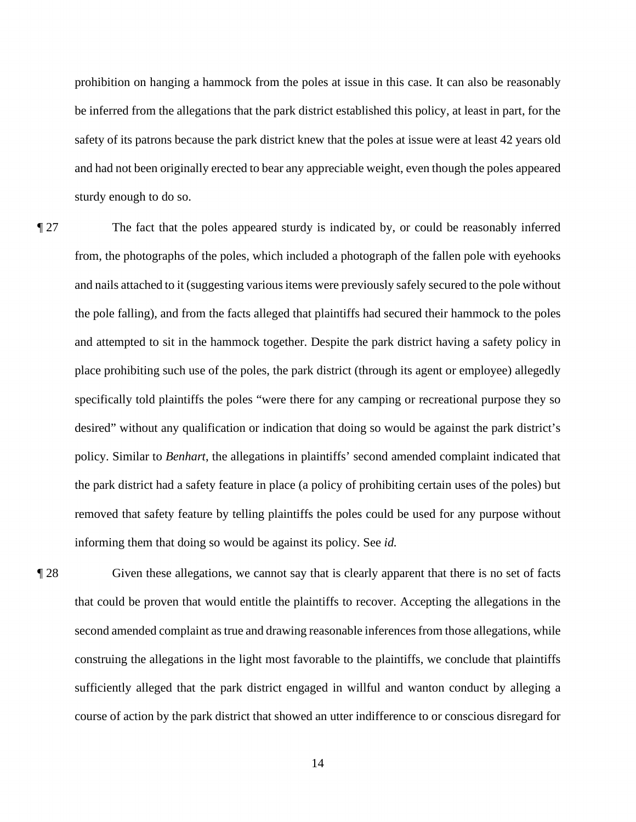prohibition on hanging a hammock from the poles at issue in this case. It can also be reasonably be inferred from the allegations that the park district established this policy, at least in part, for the safety of its patrons because the park district knew that the poles at issue were at least 42 years old and had not been originally erected to bear any appreciable weight, even though the poles appeared sturdy enough to do so.

 ¶ 27 The fact that the poles appeared sturdy is indicated by, or could be reasonably inferred and nails attached to it (suggesting various items were previously safely secured to the pole without and attempted to sit in the hammock together. Despite the park district having a safety policy in desired" without any qualification or indication that doing so would be against the park district's informing them that doing so would be against its policy. See *id.* from, the photographs of the poles, which included a photograph of the fallen pole with eyehooks the pole falling), and from the facts alleged that plaintiffs had secured their hammock to the poles place prohibiting such use of the poles, the park district (through its agent or employee) allegedly specifically told plaintiffs the poles "were there for any camping or recreational purpose they so policy. Similar to *Benhart*, the allegations in plaintiffs' second amended complaint indicated that the park district had a safety feature in place (a policy of prohibiting certain uses of the poles) but removed that safety feature by telling plaintiffs the poles could be used for any purpose without

 course of action by the park district that showed an utter indifference to or conscious disregard for ¶ 28 Given these allegations, we cannot say that is clearly apparent that there is no set of facts that could be proven that would entitle the plaintiffs to recover. Accepting the allegations in the second amended complaint as true and drawing reasonable inferences from those allegations, while construing the allegations in the light most favorable to the plaintiffs, we conclude that plaintiffs sufficiently alleged that the park district engaged in willful and wanton conduct by alleging a

14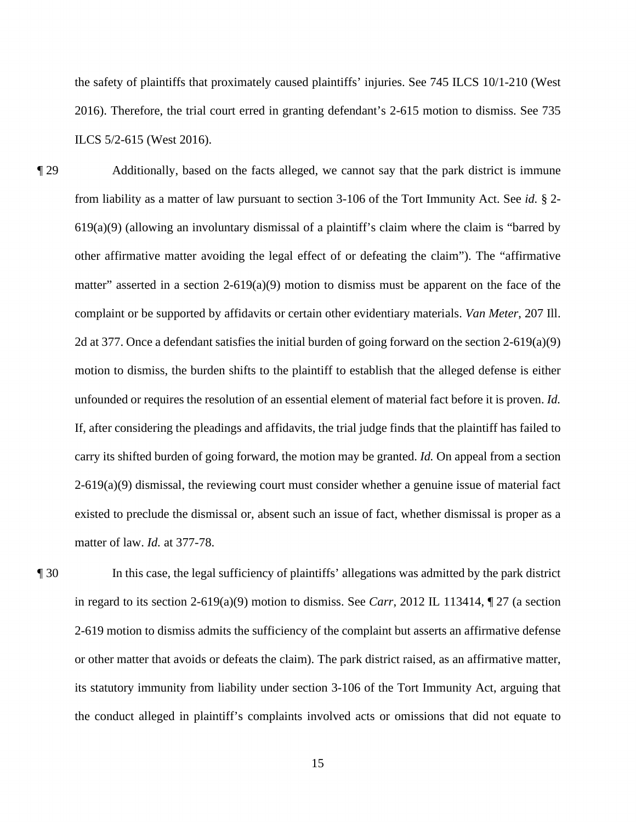the safety of plaintiffs that proximately caused plaintiffs' injuries. See 745 ILCS 10/1-210 (West 2016). Therefore, the trial court erred in granting defendant's 2-615 motion to dismiss. See 735 ILCS 5/2-615 (West 2016).

 from liability as a matter of law pursuant to section 3-106 of the Tort Immunity Act. See *id.* § 2- 619(a)(9) (allowing an involuntary dismissal of a plaintiff's claim where the claim is "barred by other affirmative matter avoiding the legal effect of or defeating the claim"). The "affirmative matter" asserted in a section 2-619(a)(9) motion to dismiss must be apparent on the face of the motion to dismiss, the burden shifts to the plaintiff to establish that the alleged defense is either ¶ 29 Additionally, based on the facts alleged, we cannot say that the park district is immune complaint or be supported by affidavits or certain other evidentiary materials. *Van Meter*, 207 Ill. 2d at 377. Once a defendant satisfies the initial burden of going forward on the section 2-619(a)(9) unfounded or requires the resolution of an essential element of material fact before it is proven. *Id.*  If, after considering the pleadings and affidavits, the trial judge finds that the plaintiff has failed to carry its shifted burden of going forward, the motion may be granted. *Id.* On appeal from a section  $2-619(a)(9)$  dismissal, the reviewing court must consider whether a genuine issue of material fact existed to preclude the dismissal or, absent such an issue of fact, whether dismissal is proper as a matter of law. *Id.* at 377-78.

 2-619 motion to dismiss admits the sufficiency of the complaint but asserts an affirmative defense or other matter that avoids or defeats the claim). The park district raised, as an affirmative matter, the conduct alleged in plaintiff's complaints involved acts or omissions that did not equate to ¶ 30 In this case, the legal sufficiency of plaintiffs' allegations was admitted by the park district in regard to its section 2-619(a)(9) motion to dismiss. See *Carr*, 2012 IL 113414, ¶ 27 (a section its statutory immunity from liability under section 3-106 of the Tort Immunity Act, arguing that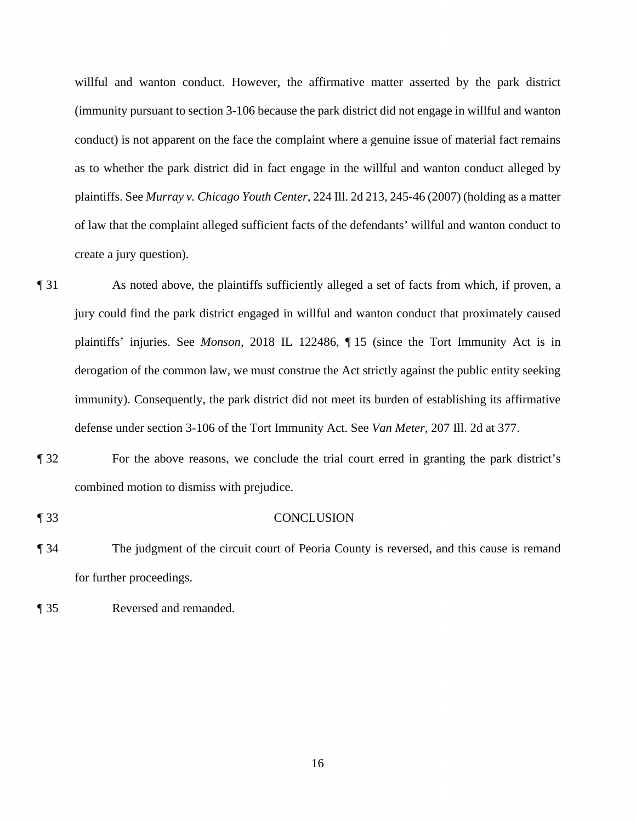conduct) is not apparent on the face the complaint where a genuine issue of material fact remains as to whether the park district did in fact engage in the willful and wanton conduct alleged by willful and wanton conduct. However, the affirmative matter asserted by the park district (immunity pursuant to section 3-106 because the park district did not engage in willful and wanton plaintiffs. See *Murray v. Chicago Youth Center*, 224 Ill. 2d 213, 245-46 (2007) (holding as a matter of law that the complaint alleged sufficient facts of the defendants' willful and wanton conduct to create a jury question).

- immunity). Consequently, the park district did not meet its burden of establishing its affirmative ¶ 31 As noted above, the plaintiffs sufficiently alleged a set of facts from which, if proven, a jury could find the park district engaged in willful and wanton conduct that proximately caused plaintiffs' injuries. See *Monson*, 2018 IL 122486, ¶ 15 (since the Tort Immunity Act is in derogation of the common law, we must construe the Act strictly against the public entity seeking defense under section 3-106 of the Tort Immunity Act. See *Van Meter*, 207 Ill. 2d at 377.
- ¶ 32 For the above reasons, we conclude the trial court erred in granting the park district's combined motion to dismiss with prejudice.
- ¶ 33 CONCLUSION
- ¶ 34 The judgment of the circuit court of Peoria County is reversed, and this cause is remand for further proceedings.
- ¶ 35 Reversed and remanded.

16